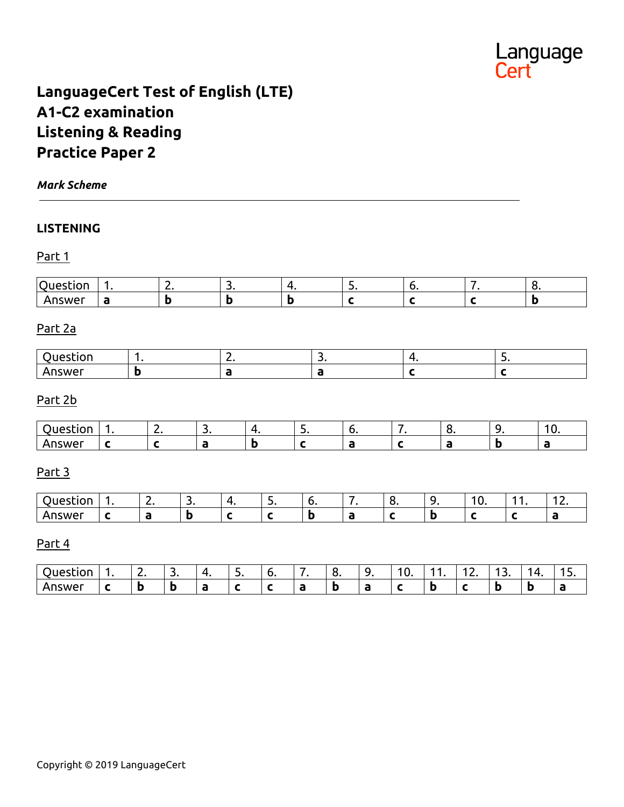

# **LanguageCert Test of English (LTE) A1-C2 examination Listening & Reading Practice Paper 2**

#### *Mark Scheme*

#### **LISTENING**

#### Part 1

| $\sim$ | . . |  | - |  | ∼ |
|--------|-----|--|---|--|---|
| .we    |     |  |   |  |   |

# Part 2a

# Part 2b

|  | . . |  | J. |  |  |
|--|-----|--|----|--|--|
|  |     |  |    |  |  |

#### Part 3

| <b>Quaction</b><br>- SLIVI. |  | ັ | <u>.</u> | . . | - | . J | ט ו | -<br>$- - -$ |
|-----------------------------|--|---|----------|-----|---|-----|-----|--------------|
| $\triangle$ DSM/C<br>.swe   |  |   |          |     |   |     |     |              |

#### Part 4

|        | <u>.</u> | $\overline{\phantom{a}}$<br>، ب | ,,<br>. . | <u>.</u> | -<br>v. | с<br>$\bullet$ | . .<br><u>.</u> | <b>υ.</b> | . . | - | . ۔ | . .<br>. . | . |
|--------|----------|---------------------------------|-----------|----------|---------|----------------|-----------------|-----------|-----|---|-----|------------|---|
| Answer |          | D                               |           |          |         | D              |                 |           |     |   | Đ   |            |   |